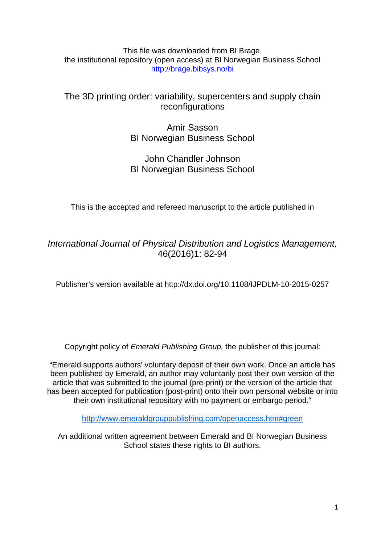## This file was downloaded from BI Brage, the institutional repository (open access) at BI Norwegian Business School http://brage.bibsys.no/bi

# The 3D printing order: variability, supercenters and supply chain reconfigurations

Amir Sasson BI Norwegian Business School

# John Chandler Johnson BI Norwegian Business School

This is the accepted and refereed manuscript to the article published in

*International Journal of Physical Distribution and Logistics Management,* 46(2016)1: 82-94

Publisher's version available at http://dx.doi.org[/10.1108/IJPDLM-10-2015-0257](http://dx.doi.org.ezproxy.library.bi.no/10.1108/IJPDLM-10-2015-0257)

Copyright policy of *Emerald Publishing Group,* the publisher of this journal:

"Emerald supports authors' voluntary deposit of their own work. Once an article has been published by Emerald, an author may voluntarily post their own version of the article that was submitted to the journal (pre-print) or the version of the article that has been accepted for publication (post-print) onto their own personal website or into their own institutional repository with no payment or embargo period."

<http://www.emeraldgrouppublishing.com/openaccess.htm#green>

An additional written agreement between Emerald and BI Norwegian Business School states these rights to BI authors.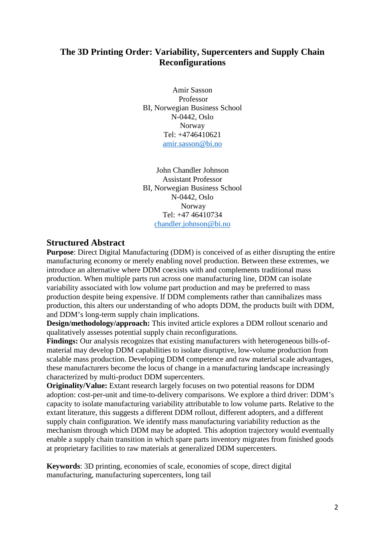## **The 3D Printing Order: Variability, Supercenters and Supply Chain Reconfigurations**

Amir Sasson Professor BI, Norwegian Business School N-0442, Oslo Norway Tel: +4746410621 [amir.sasson@bi.no](mailto:amir.sasson@bi.no)

John Chandler Johnson Assistant Professor BI, Norwegian Business School N-0442, Oslo Norway Tel: +47 46410734 [chandler.johnson@bi.no](mailto:chandler.johnson@bi.no)

## **Structured Abstract**

**Purpose:** Direct Digital Manufacturing (DDM) is conceived of as either disrupting the entire manufacturing economy or merely enabling novel production. Between these extremes, we introduce an alternative where DDM coexists with and complements traditional mass production. When multiple parts run across one manufacturing line, DDM can isolate variability associated with low volume part production and may be preferred to mass production despite being expensive. If DDM complements rather than cannibalizes mass production, this alters our understanding of who adopts DDM, the products built with DDM, and DDM's long-term supply chain implications.

**Design/methodology/approach:** This invited article explores a DDM rollout scenario and qualitatively assesses potential supply chain reconfigurations.

**Findings:** Our analysis recognizes that existing manufacturers with heterogeneous bills-ofmaterial may develop DDM capabilities to isolate disruptive, low-volume production from scalable mass production. Developing DDM competence and raw material scale advantages, these manufacturers become the locus of change in a manufacturing landscape increasingly characterized by multi-product DDM supercenters.

**Originality/Value:** Extant research largely focuses on two potential reasons for DDM adoption: cost-per-unit and time-to-delivery comparisons. We explore a third driver: DDM's capacity to isolate manufacturing variability attributable to low volume parts. Relative to the extant literature, this suggests a different DDM rollout, different adopters, and a different supply chain configuration. We identify mass manufacturing variability reduction as the mechanism through which DDM may be adopted. This adoption trajectory would eventually enable a supply chain transition in which spare parts inventory migrates from finished goods at proprietary facilities to raw materials at generalized DDM supercenters.

**Keywords**: 3D printing, economies of scale, economies of scope, direct digital manufacturing, manufacturing supercenters, long tail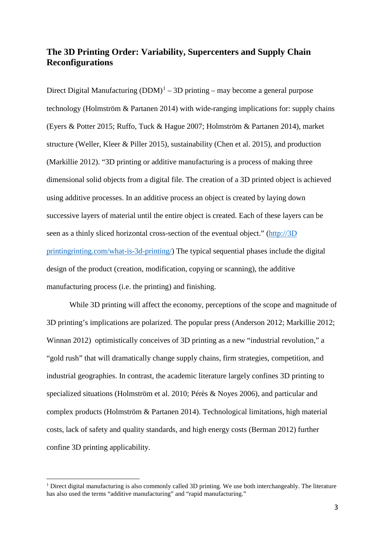## **The 3D Printing Order: Variability, Supercenters and Supply Chain Reconfigurations**

Direct Digital Manufacturing  $(DDM)^1 - 3D$  $(DDM)^1 - 3D$  $(DDM)^1 - 3D$  printing – may become a general purpose technology (Holmström & Partanen 2014) with wide-ranging implications for: supply chains (Eyers & Potter 2015; Ruffo, Tuck & Hague 2007; Holmström & Partanen 2014), market structure (Weller, Kleer & Piller 2015), sustainability (Chen et al. 2015), and production (Markillie 2012). "3D printing or additive manufacturing is a process of making three dimensional solid objects from a digital file. The creation of a 3D printed object is achieved using additive processes. In an additive process an object is created by laying down successive layers of material until the entire object is created. Each of these layers can be seen as a thinly sliced horizontal cross-section of the eventual object." [\(http://3D](http://3dprinting.com/what-is-3d-printing/)  [printingrinting.com/what-is-3d-printing/\)](http://3dprinting.com/what-is-3d-printing/) The typical sequential phases include the digital design of the product (creation, modification, copying or scanning), the additive manufacturing process (i.e. the printing) and finishing.

While 3D printing will affect the economy, perceptions of the scope and magnitude of 3D printing's implications are polarized. The popular press (Anderson 2012; Markillie 2012; Winnan 2012) optimistically conceives of 3D printing as a new "industrial revolution," a "gold rush" that will dramatically change supply chains, firm strategies, competition, and industrial geographies. In contrast, the academic literature largely confines 3D printing to specialized situations (Holmström et al. 2010; Pérès & Noyes 2006), and particular and complex products (Holmström & Partanen 2014). Technological limitations, high material costs, lack of safety and quality standards, and high energy costs (Berman 2012) further confine 3D printing applicability.

-

<span id="page-2-0"></span> $1$  Direct digital manufacturing is also commonly called 3D printing. We use both interchangeably. The literature has also used the terms "additive manufacturing" and "rapid manufacturing."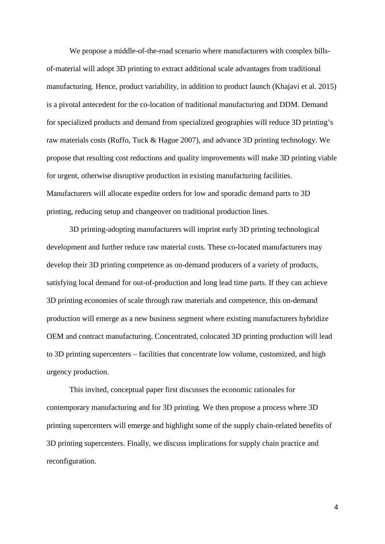We propose a middle-of-the-road scenario where manufacturers with complex billsof-material will adopt 3D printing to extract additional scale advantages from traditional manufacturing. Hence, product variability, in addition to product launch (Khajavi et al. 2015) is a pivotal antecedent for the co-location of traditional manufacturing and DDM. Demand for specialized products and demand from specialized geographies will reduce 3D printing's raw materials costs (Ruffo, Tuck & Hague 2007), and advance 3D printing technology. We propose that resulting cost reductions and quality improvements will make 3D printing viable for urgent, otherwise disruptive production in existing manufacturing facilities. Manufacturers will allocate expedite orders for low and sporadic demand parts to 3D printing, reducing setup and changeover on traditional production lines.

3D printing-adopting manufacturers will imprint early 3D printing technological development and further reduce raw material costs. These co-located manufacturers may develop their 3D printing competence as on-demand producers of a variety of products, satisfying local demand for out-of-production and long lead time parts. If they can achieve 3D printing economies of scale through raw materials and competence, this on-demand production will emerge as a new business segment where existing manufacturers hybridize OEM and contract manufacturing. Concentrated, colocated 3D printing production will lead to 3D printing supercenters – facilities that concentrate low volume, customized, and high urgency production.

This invited, conceptual paper first discusses the economic rationales for contemporary manufacturing and for 3D printing. We then propose a process where 3D printing supercenters will emerge and highlight some of the supply chain-related benefits of 3D printing supercenters. Finally, we discuss implications for supply chain practice and reconfiguration.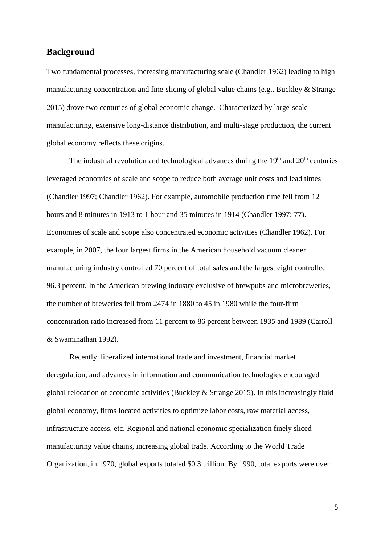### **Background**

Two fundamental processes, increasing manufacturing scale (Chandler 1962) leading to high manufacturing concentration and fine-slicing of global value chains (e.g., Buckley & Strange 2015) drove two centuries of global economic change. Characterized by large-scale manufacturing, extensive long-distance distribution, and multi-stage production, the current global economy reflects these origins.

The industrial revolution and technological advances during the  $19<sup>th</sup>$  and  $20<sup>th</sup>$  centuries leveraged economies of scale and scope to reduce both average unit costs and lead times (Chandler 1997; Chandler 1962). For example, automobile production time fell from 12 hours and 8 minutes in 1913 to 1 hour and 35 minutes in 1914 (Chandler 1997: 77). Economies of scale and scope also concentrated economic activities (Chandler 1962). For example, in 2007, the four largest firms in the American household vacuum cleaner manufacturing industry controlled 70 percent of total sales and the largest eight controlled 96.3 percent. In the American brewing industry exclusive of brewpubs and microbreweries, the number of breweries fell from 2474 in 1880 to 45 in 1980 while the four-firm concentration ratio increased from 11 percent to 86 percent between 1935 and 1989 (Carroll & Swaminathan 1992).

Recently, liberalized international trade and investment, financial market deregulation, and advances in information and communication technologies encouraged global relocation of economic activities (Buckley & Strange 2015). In this increasingly fluid global economy, firms located activities to optimize labor costs, raw material access, infrastructure access, etc. Regional and national economic specialization finely sliced manufacturing value chains, increasing global trade. According to the World Trade Organization, in 1970, global exports totaled \$0.3 trillion. By 1990, total exports were over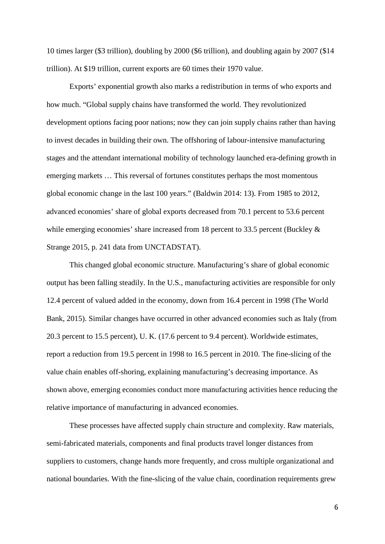10 times larger (\$3 trillion), doubling by 2000 (\$6 trillion), and doubling again by 2007 (\$14 trillion). At \$19 trillion, current exports are 60 times their 1970 value.

Exports' exponential growth also marks a redistribution in terms of who exports and how much. "Global supply chains have transformed the world. They revolutionized development options facing poor nations; now they can join supply chains rather than having to invest decades in building their own. The offshoring of labour-intensive manufacturing stages and the attendant international mobility of technology launched era-defining growth in emerging markets … This reversal of fortunes constitutes perhaps the most momentous global economic change in the last 100 years." (Baldwin 2014: 13). From 1985 to 2012, advanced economies' share of global exports decreased from 70.1 percent to 53.6 percent while emerging economies' share increased from 18 percent to 33.5 percent (Buckley & Strange 2015, p. 241 data from UNCTADSTAT).

This changed global economic structure. Manufacturing's share of global economic output has been falling steadily. In the U.S., manufacturing activities are responsible for only 12.4 percent of valued added in the economy, down from 16.4 percent in 1998 (The World Bank, 2015). Similar changes have occurred in other advanced economies such as Italy (from 20.3 percent to 15.5 percent), U. K. (17.6 percent to 9.4 percent). Worldwide estimates, report a reduction from 19.5 percent in 1998 to 16.5 percent in 2010. The fine-slicing of the value chain enables off-shoring, explaining manufacturing's decreasing importance. As shown above, emerging economies conduct more manufacturing activities hence reducing the relative importance of manufacturing in advanced economies.

These processes have affected supply chain structure and complexity. Raw materials, semi-fabricated materials, components and final products travel longer distances from suppliers to customers, change hands more frequently, and cross multiple organizational and national boundaries. With the fine-slicing of the value chain, coordination requirements grew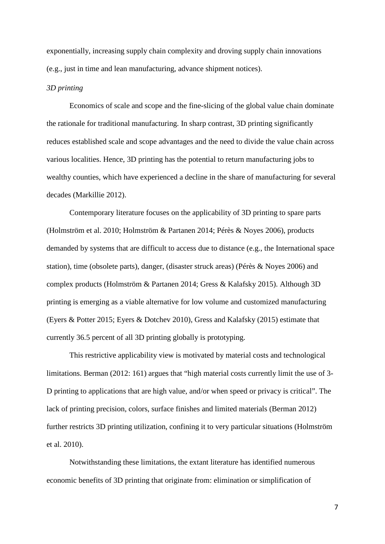exponentially, increasing supply chain complexity and droving supply chain innovations (e.g., just in time and lean manufacturing, advance shipment notices).

#### *3D printing*

Economics of scale and scope and the fine-slicing of the global value chain dominate the rationale for traditional manufacturing. In sharp contrast, 3D printing significantly reduces established scale and scope advantages and the need to divide the value chain across various localities. Hence, 3D printing has the potential to return manufacturing jobs to wealthy counties, which have experienced a decline in the share of manufacturing for several decades (Markillie 2012).

Contemporary literature focuses on the applicability of 3D printing to spare parts (Holmström et al. 2010; Holmström & Partanen 2014; Pérès & Noyes 2006), products demanded by systems that are difficult to access due to distance (e.g., the International space station), time (obsolete parts), danger, (disaster struck areas) (Pérès & Noyes 2006) and complex products (Holmström & Partanen 2014; Gress & Kalafsky 2015). Although 3D printing is emerging as a viable alternative for low volume and customized manufacturing (Eyers & Potter 2015; Eyers & Dotchev 2010), Gress and Kalafsky (2015) estimate that currently 36.5 percent of all 3D printing globally is prototyping.

This restrictive applicability view is motivated by material costs and technological limitations. Berman (2012: 161) argues that "high material costs currently limit the use of 3- D printing to applications that are high value, and/or when speed or privacy is critical". The lack of printing precision, colors, surface finishes and limited materials (Berman 2012) further restricts 3D printing utilization, confining it to very particular situations (Holmström et al. 2010).

Notwithstanding these limitations, the extant literature has identified numerous economic benefits of 3D printing that originate from: elimination or simplification of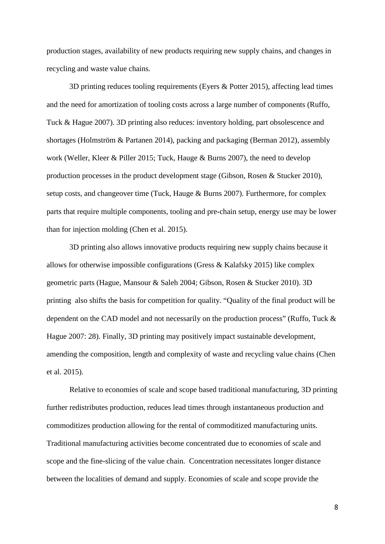production stages, availability of new products requiring new supply chains, and changes in recycling and waste value chains.

3D printing reduces tooling requirements (Eyers & Potter 2015), affecting lead times and the need for amortization of tooling costs across a large number of components (Ruffo, Tuck & Hague 2007). 3D printing also reduces: inventory holding, part obsolescence and shortages (Holmström & Partanen 2014), packing and packaging (Berman 2012), assembly work (Weller, Kleer & Piller 2015; Tuck, Hauge & Burns 2007), the need to develop production processes in the product development stage (Gibson, Rosen & Stucker 2010), setup costs, and changeover time (Tuck, Hauge & Burns 2007). Furthermore, for complex parts that require multiple components, tooling and pre-chain setup, energy use may be lower than for injection molding (Chen et al. 2015).

3D printing also allows innovative products requiring new supply chains because it allows for otherwise impossible configurations (Gress & Kalafsky 2015) like complex geometric parts (Hague, Mansour & Saleh 2004; Gibson, Rosen & Stucker 2010). 3D printing also shifts the basis for competition for quality. "Quality of the final product will be dependent on the CAD model and not necessarily on the production process" (Ruffo, Tuck & Hague 2007: 28). Finally, 3D printing may positively impact sustainable development, amending the composition, length and complexity of waste and recycling value chains (Chen et al. 2015).

Relative to economies of scale and scope based traditional manufacturing, 3D printing further redistributes production, reduces lead times through instantaneous production and commoditizes production allowing for the rental of commoditized manufacturing units. Traditional manufacturing activities become concentrated due to economies of scale and scope and the fine-slicing of the value chain. Concentration necessitates longer distance between the localities of demand and supply. Economies of scale and scope provide the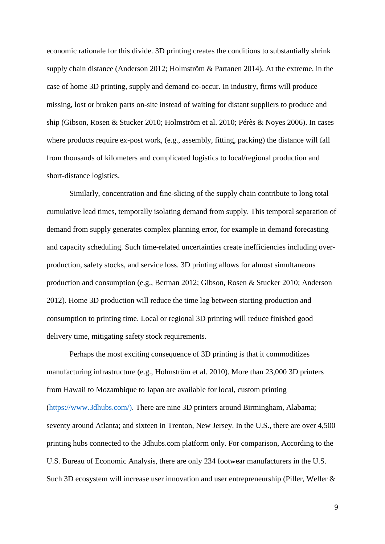economic rationale for this divide. 3D printing creates the conditions to substantially shrink supply chain distance (Anderson 2012; Holmström & Partanen 2014). At the extreme, in the case of home 3D printing, supply and demand co-occur. In industry, firms will produce missing, lost or broken parts on-site instead of waiting for distant suppliers to produce and ship (Gibson, Rosen & Stucker 2010; Holmström et al. 2010; Pérès & Noyes 2006). In cases where products require ex-post work, (e.g., assembly, fitting, packing) the distance will fall from thousands of kilometers and complicated logistics to local/regional production and short-distance logistics.

Similarly, concentration and fine-slicing of the supply chain contribute to long total cumulative lead times, temporally isolating demand from supply. This temporal separation of demand from supply generates complex planning error, for example in demand forecasting and capacity scheduling. Such time-related uncertainties create inefficiencies including overproduction, safety stocks, and service loss. 3D printing allows for almost simultaneous production and consumption (e.g., Berman 2012; Gibson, Rosen & Stucker 2010; Anderson 2012). Home 3D production will reduce the time lag between starting production and consumption to printing time. Local or regional 3D printing will reduce finished good delivery time, mitigating safety stock requirements.

Perhaps the most exciting consequence of 3D printing is that it commoditizes manufacturing infrastructure (e.g., Holmström et al. 2010). More than 23,000 3D printers from Hawaii to Mozambique to Japan are available for local, custom printing [\(https://www.3dhubs.com/\)](https://www.3dhubs.com/). There are nine 3D printers around Birmingham, Alabama; seventy around Atlanta; and sixteen in Trenton, New Jersey. In the U.S., there are over 4,500 printing hubs connected to the 3dhubs.com platform only. For comparison, According to the U.S. Bureau of Economic Analysis, there are only 234 footwear manufacturers in the U.S. Such 3D ecosystem will increase user innovation and user entrepreneurship (Piller, Weller &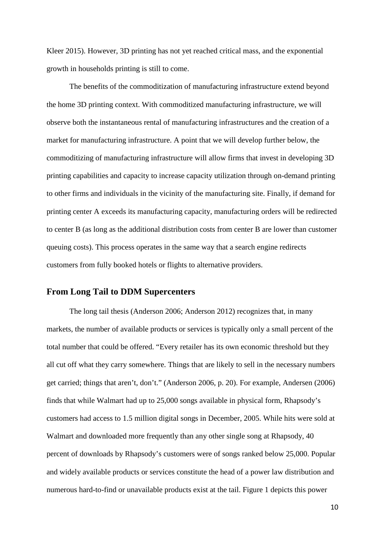Kleer 2015). However, 3D printing has not yet reached critical mass, and the exponential growth in households printing is still to come.

The benefits of the commoditization of manufacturing infrastructure extend beyond the home 3D printing context. With commoditized manufacturing infrastructure, we will observe both the instantaneous rental of manufacturing infrastructures and the creation of a market for manufacturing infrastructure. A point that we will develop further below, the commoditizing of manufacturing infrastructure will allow firms that invest in developing 3D printing capabilities and capacity to increase capacity utilization through on-demand printing to other firms and individuals in the vicinity of the manufacturing site. Finally, if demand for printing center A exceeds its manufacturing capacity, manufacturing orders will be redirected to center B (as long as the additional distribution costs from center B are lower than customer queuing costs). This process operates in the same way that a search engine redirects customers from fully booked hotels or flights to alternative providers.

### **From Long Tail to DDM Supercenters**

The long tail thesis (Anderson 2006; Anderson 2012) recognizes that, in many markets, the number of available products or services is typically only a small percent of the total number that could be offered. "Every retailer has its own economic threshold but they all cut off what they carry somewhere. Things that are likely to sell in the necessary numbers get carried; things that aren't, don't." (Anderson 2006, p. 20). For example, Andersen (2006) finds that while Walmart had up to 25,000 songs available in physical form, Rhapsody's customers had access to 1.5 million digital songs in December, 2005. While hits were sold at Walmart and downloaded more frequently than any other single song at Rhapsody, 40 percent of downloads by Rhapsody's customers were of songs ranked below 25,000. Popular and widely available products or services constitute the head of a power law distribution and numerous hard-to-find or unavailable products exist at the tail. Figure 1 depicts this power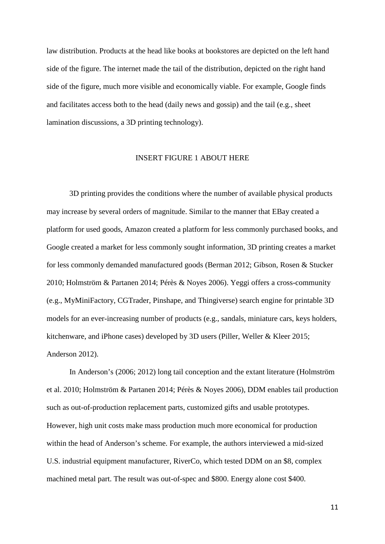law distribution. Products at the head like books at bookstores are depicted on the left hand side of the figure. The internet made the tail of the distribution, depicted on the right hand side of the figure, much more visible and economically viable. For example, Google finds and facilitates access both to the head (daily news and gossip) and the tail (e.g., sheet lamination discussions, a 3D printing technology).

#### INSERT FIGURE 1 ABOUT HERE

3D printing provides the conditions where the number of available physical products may increase by several orders of magnitude. Similar to the manner that EBay created a platform for used goods, Amazon created a platform for less commonly purchased books, and Google created a market for less commonly sought information, 3D printing creates a market for less commonly demanded manufactured goods (Berman 2012; Gibson, Rosen & Stucker 2010; Holmström & Partanen 2014; Pérès & Noyes 2006). Yeggi offers a cross-community (e.g., MyMiniFactory, CGTrader, Pinshape, and Thingiverse) search engine for printable 3D models for an ever-increasing number of products (e.g., sandals, miniature cars, keys holders, kitchenware, and iPhone cases) developed by 3D users (Piller, Weller & Kleer 2015; Anderson 2012).

In Anderson's (2006; 2012) long tail conception and the extant literature (Holmström et al. 2010; Holmström & Partanen 2014; Pérès & Noyes 2006), DDM enables tail production such as out-of-production replacement parts, customized gifts and usable prototypes. However, high unit costs make mass production much more economical for production within the head of Anderson's scheme. For example, the authors interviewed a mid-sized U.S. industrial equipment manufacturer, RiverCo, which tested DDM on an \$8, complex machined metal part. The result was out-of-spec and \$800. Energy alone cost \$400.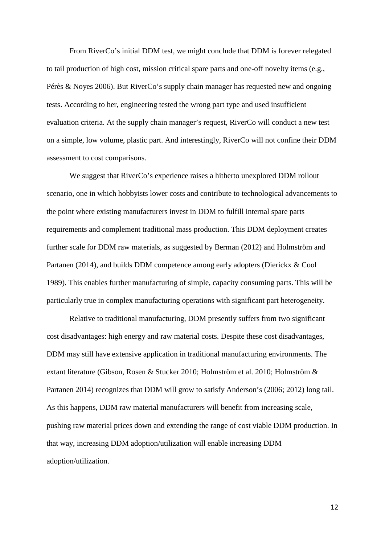From RiverCo's initial DDM test, we might conclude that DDM is forever relegated to tail production of high cost, mission critical spare parts and one-off novelty items (e.g., Pérès & Noyes 2006). But RiverCo's supply chain manager has requested new and ongoing tests. According to her, engineering tested the wrong part type and used insufficient evaluation criteria. At the supply chain manager's request, RiverCo will conduct a new test on a simple, low volume, plastic part. And interestingly, RiverCo will not confine their DDM assessment to cost comparisons.

We suggest that RiverCo's experience raises a hitherto unexplored DDM rollout scenario, one in which hobbyists lower costs and contribute to technological advancements to the point where existing manufacturers invest in DDM to fulfill internal spare parts requirements and complement traditional mass production. This DDM deployment creates further scale for DDM raw materials, as suggested by Berman (2012) and Holmström and Partanen (2014), and builds DDM competence among early adopters (Dierickx & Cool 1989). This enables further manufacturing of simple, capacity consuming parts. This will be particularly true in complex manufacturing operations with significant part heterogeneity.

Relative to traditional manufacturing, DDM presently suffers from two significant cost disadvantages: high energy and raw material costs. Despite these cost disadvantages, DDM may still have extensive application in traditional manufacturing environments. The extant literature (Gibson, Rosen & Stucker 2010; Holmström et al. 2010; Holmström & Partanen 2014) recognizes that DDM will grow to satisfy Anderson's (2006; 2012) long tail. As this happens, DDM raw material manufacturers will benefit from increasing scale, pushing raw material prices down and extending the range of cost viable DDM production. In that way, increasing DDM adoption/utilization will enable increasing DDM adoption/utilization.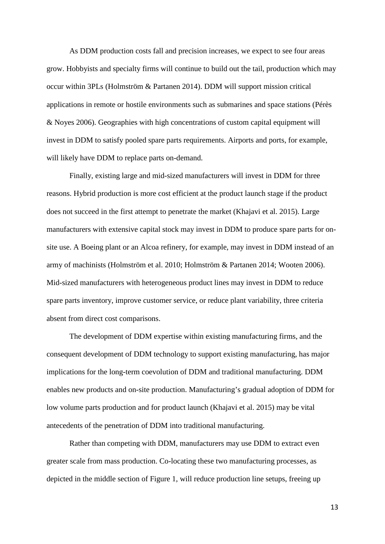As DDM production costs fall and precision increases, we expect to see four areas grow. Hobbyists and specialty firms will continue to build out the tail, production which may occur within 3PLs (Holmström & Partanen 2014). DDM will support mission critical applications in remote or hostile environments such as submarines and space stations (Pérès & Noyes 2006). Geographies with high concentrations of custom capital equipment will invest in DDM to satisfy pooled spare parts requirements. Airports and ports, for example, will likely have DDM to replace parts on-demand.

Finally, existing large and mid-sized manufacturers will invest in DDM for three reasons. Hybrid production is more cost efficient at the product launch stage if the product does not succeed in the first attempt to penetrate the market (Khajavi et al. 2015). Large manufacturers with extensive capital stock may invest in DDM to produce spare parts for onsite use. A Boeing plant or an Alcoa refinery, for example, may invest in DDM instead of an army of machinists (Holmström et al. 2010; Holmström & Partanen 2014; Wooten 2006). Mid-sized manufacturers with heterogeneous product lines may invest in DDM to reduce spare parts inventory, improve customer service, or reduce plant variability, three criteria absent from direct cost comparisons.

The development of DDM expertise within existing manufacturing firms, and the consequent development of DDM technology to support existing manufacturing, has major implications for the long-term coevolution of DDM and traditional manufacturing. DDM enables new products and on-site production. Manufacturing's gradual adoption of DDM for low volume parts production and for product launch (Khajavi et al. 2015) may be vital antecedents of the penetration of DDM into traditional manufacturing.

Rather than competing with DDM, manufacturers may use DDM to extract even greater scale from mass production. Co-locating these two manufacturing processes, as depicted in the middle section of Figure 1, will reduce production line setups, freeing up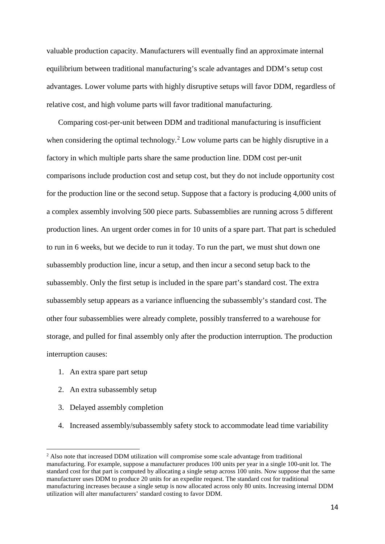valuable production capacity. Manufacturers will eventually find an approximate internal equilibrium between traditional manufacturing's scale advantages and DDM's setup cost advantages. Lower volume parts with highly disruptive setups will favor DDM, regardless of relative cost, and high volume parts will favor traditional manufacturing.

Comparing cost-per-unit between DDM and traditional manufacturing is insufficient when considering the optimal technology.<sup>[2](#page-13-0)</sup> Low volume parts can be highly disruptive in a factory in which multiple parts share the same production line. DDM cost per-unit comparisons include production cost and setup cost, but they do not include opportunity cost for the production line or the second setup. Suppose that a factory is producing 4,000 units of a complex assembly involving 500 piece parts. Subassemblies are running across 5 different production lines. An urgent order comes in for 10 units of a spare part. That part is scheduled to run in 6 weeks, but we decide to run it today. To run the part, we must shut down one subassembly production line, incur a setup, and then incur a second setup back to the subassembly. Only the first setup is included in the spare part's standard cost. The extra subassembly setup appears as a variance influencing the subassembly's standard cost. The other four subassemblies were already complete, possibly transferred to a warehouse for storage, and pulled for final assembly only after the production interruption. The production interruption causes:

1. An extra spare part setup

- 2. An extra subassembly setup
- 3. Delayed assembly completion
- 4. Increased assembly/subassembly safety stock to accommodate lead time variability

<span id="page-13-0"></span><sup>&</sup>lt;sup>2</sup> Also note that increased DDM utilization will compromise some scale advantage from traditional manufacturing. For example, suppose a manufacturer produces 100 units per year in a single 100-unit lot. The standard cost for that part is computed by allocating a single setup across 100 units. Now suppose that the same manufacturer uses DDM to produce 20 units for an expedite request. The standard cost for traditional manufacturing increases because a single setup is now allocated across only 80 units. Increasing internal DDM utilization will alter manufacturers' standard costing to favor DDM.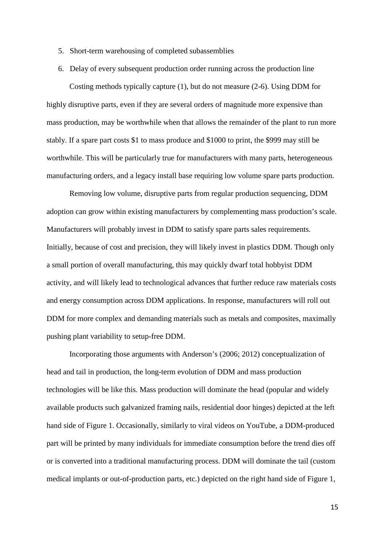- 5. Short-term warehousing of completed subassemblies
- 6. Delay of every subsequent production order running across the production line

Costing methods typically capture (1), but do not measure (2-6). Using DDM for highly disruptive parts, even if they are several orders of magnitude more expensive than mass production, may be worthwhile when that allows the remainder of the plant to run more stably. If a spare part costs \$1 to mass produce and \$1000 to print, the \$999 may still be worthwhile. This will be particularly true for manufacturers with many parts, heterogeneous manufacturing orders, and a legacy install base requiring low volume spare parts production.

Removing low volume, disruptive parts from regular production sequencing, DDM adoption can grow within existing manufacturers by complementing mass production's scale. Manufacturers will probably invest in DDM to satisfy spare parts sales requirements. Initially, because of cost and precision, they will likely invest in plastics DDM. Though only a small portion of overall manufacturing, this may quickly dwarf total hobbyist DDM activity, and will likely lead to technological advances that further reduce raw materials costs and energy consumption across DDM applications. In response, manufacturers will roll out DDM for more complex and demanding materials such as metals and composites, maximally pushing plant variability to setup-free DDM.

Incorporating those arguments with Anderson's (2006; 2012) conceptualization of head and tail in production, the long-term evolution of DDM and mass production technologies will be like this. Mass production will dominate the head (popular and widely available products such galvanized framing nails, residential door hinges) depicted at the left hand side of Figure 1. Occasionally, similarly to viral videos on YouTube, a DDM-produced part will be printed by many individuals for immediate consumption before the trend dies off or is converted into a traditional manufacturing process. DDM will dominate the tail (custom medical implants or out-of-production parts, etc.) depicted on the right hand side of Figure 1,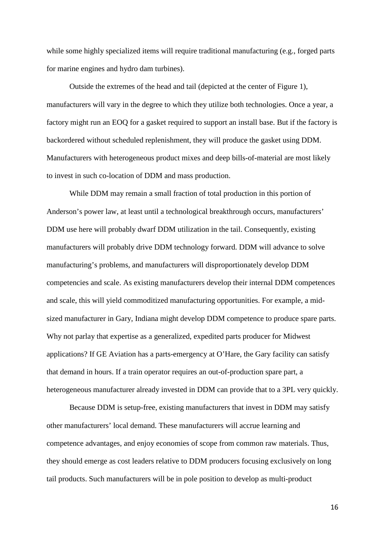while some highly specialized items will require traditional manufacturing (e.g., forged parts for marine engines and hydro dam turbines).

Outside the extremes of the head and tail (depicted at the center of Figure 1), manufacturers will vary in the degree to which they utilize both technologies. Once a year, a factory might run an EOQ for a gasket required to support an install base. But if the factory is backordered without scheduled replenishment, they will produce the gasket using DDM. Manufacturers with heterogeneous product mixes and deep bills-of-material are most likely to invest in such co-location of DDM and mass production.

While DDM may remain a small fraction of total production in this portion of Anderson's power law, at least until a technological breakthrough occurs, manufacturers' DDM use here will probably dwarf DDM utilization in the tail. Consequently, existing manufacturers will probably drive DDM technology forward. DDM will advance to solve manufacturing's problems, and manufacturers will disproportionately develop DDM competencies and scale. As existing manufacturers develop their internal DDM competences and scale, this will yield commoditized manufacturing opportunities. For example, a midsized manufacturer in Gary, Indiana might develop DDM competence to produce spare parts. Why not parlay that expertise as a generalized, expedited parts producer for Midwest applications? If GE Aviation has a parts-emergency at O'Hare, the Gary facility can satisfy that demand in hours. If a train operator requires an out-of-production spare part, a heterogeneous manufacturer already invested in DDM can provide that to a 3PL very quickly.

Because DDM is setup-free, existing manufacturers that invest in DDM may satisfy other manufacturers' local demand. These manufacturers will accrue learning and competence advantages, and enjoy economies of scope from common raw materials. Thus, they should emerge as cost leaders relative to DDM producers focusing exclusively on long tail products. Such manufacturers will be in pole position to develop as multi-product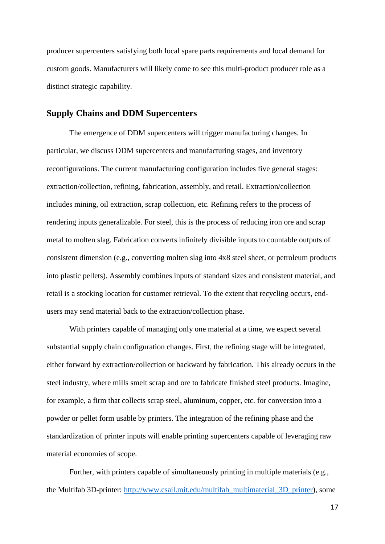producer supercenters satisfying both local spare parts requirements and local demand for custom goods. Manufacturers will likely come to see this multi-product producer role as a distinct strategic capability.

### **Supply Chains and DDM Supercenters**

The emergence of DDM supercenters will trigger manufacturing changes. In particular, we discuss DDM supercenters and manufacturing stages, and inventory reconfigurations. The current manufacturing configuration includes five general stages: extraction/collection, refining, fabrication, assembly, and retail. Extraction/collection includes mining, oil extraction, scrap collection, etc. Refining refers to the process of rendering inputs generalizable. For steel, this is the process of reducing iron ore and scrap metal to molten slag. Fabrication converts infinitely divisible inputs to countable outputs of consistent dimension (e.g., converting molten slag into 4x8 steel sheet, or petroleum products into plastic pellets). Assembly combines inputs of standard sizes and consistent material, and retail is a stocking location for customer retrieval. To the extent that recycling occurs, endusers may send material back to the extraction/collection phase.

With printers capable of managing only one material at a time, we expect several substantial supply chain configuration changes. First, the refining stage will be integrated, either forward by extraction/collection or backward by fabrication. This already occurs in the steel industry, where mills smelt scrap and ore to fabricate finished steel products. Imagine, for example, a firm that collects scrap steel, aluminum, copper, etc. for conversion into a powder or pellet form usable by printers. The integration of the refining phase and the standardization of printer inputs will enable printing supercenters capable of leveraging raw material economies of scope.

Further, with printers capable of simultaneously printing in multiple materials (e.g., the Multifab 3D-printer: [http://www.csail.mit.edu/multifab\\_multimaterial\\_3D\\_printer\)](http://www.csail.mit.edu/multifab_multimaterial_3D_printer), some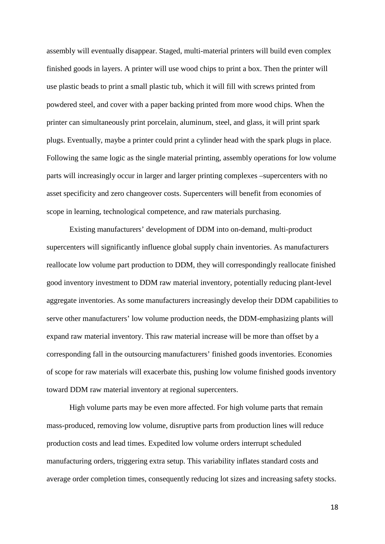assembly will eventually disappear. Staged, multi-material printers will build even complex finished goods in layers. A printer will use wood chips to print a box. Then the printer will use plastic beads to print a small plastic tub, which it will fill with screws printed from powdered steel, and cover with a paper backing printed from more wood chips. When the printer can simultaneously print porcelain, aluminum, steel, and glass, it will print spark plugs. Eventually, maybe a printer could print a cylinder head with the spark plugs in place. Following the same logic as the single material printing, assembly operations for low volume parts will increasingly occur in larger and larger printing complexes –supercenters with no asset specificity and zero changeover costs. Supercenters will benefit from economies of scope in learning, technological competence, and raw materials purchasing.

Existing manufacturers' development of DDM into on-demand, multi-product supercenters will significantly influence global supply chain inventories. As manufacturers reallocate low volume part production to DDM, they will correspondingly reallocate finished good inventory investment to DDM raw material inventory, potentially reducing plant-level aggregate inventories. As some manufacturers increasingly develop their DDM capabilities to serve other manufacturers' low volume production needs, the DDM-emphasizing plants will expand raw material inventory. This raw material increase will be more than offset by a corresponding fall in the outsourcing manufacturers' finished goods inventories. Economies of scope for raw materials will exacerbate this, pushing low volume finished goods inventory toward DDM raw material inventory at regional supercenters.

High volume parts may be even more affected. For high volume parts that remain mass-produced, removing low volume, disruptive parts from production lines will reduce production costs and lead times. Expedited low volume orders interrupt scheduled manufacturing orders, triggering extra setup. This variability inflates standard costs and average order completion times, consequently reducing lot sizes and increasing safety stocks.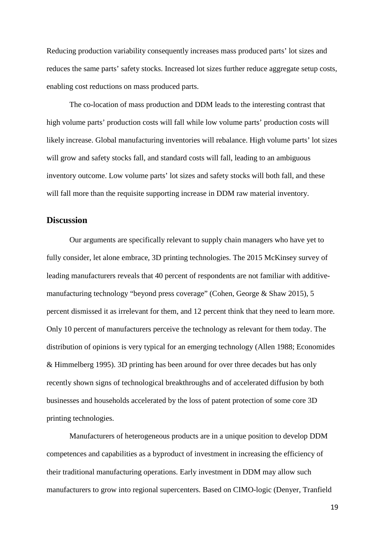Reducing production variability consequently increases mass produced parts' lot sizes and reduces the same parts' safety stocks. Increased lot sizes further reduce aggregate setup costs, enabling cost reductions on mass produced parts.

The co-location of mass production and DDM leads to the interesting contrast that high volume parts' production costs will fall while low volume parts' production costs will likely increase. Global manufacturing inventories will rebalance. High volume parts' lot sizes will grow and safety stocks fall, and standard costs will fall, leading to an ambiguous inventory outcome. Low volume parts' lot sizes and safety stocks will both fall, and these will fall more than the requisite supporting increase in DDM raw material inventory.

### **Discussion**

Our arguments are specifically relevant to supply chain managers who have yet to fully consider, let alone embrace, 3D printing technologies. The 2015 McKinsey survey of leading manufacturers reveals that 40 percent of respondents are not familiar with additivemanufacturing technology "beyond press coverage" (Cohen, George & Shaw 2015), 5 percent dismissed it as irrelevant for them, and 12 percent think that they need to learn more. Only 10 percent of manufacturers perceive the technology as relevant for them today. The distribution of opinions is very typical for an emerging technology (Allen 1988; Economides & Himmelberg 1995). 3D printing has been around for over three decades but has only recently shown signs of technological breakthroughs and of accelerated diffusion by both businesses and households accelerated by the loss of patent protection of some core 3D printing technologies.

Manufacturers of heterogeneous products are in a unique position to develop DDM competences and capabilities as a byproduct of investment in increasing the efficiency of their traditional manufacturing operations. Early investment in DDM may allow such manufacturers to grow into regional supercenters. Based on CIMO-logic (Denyer, Tranfield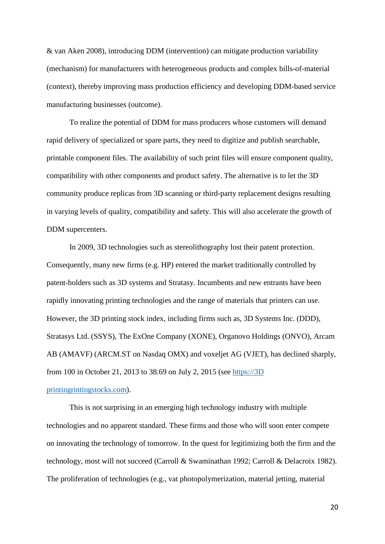& van Aken 2008), introducing DDM (intervention) can mitigate production variability (mechanism) for manufacturers with heterogeneous products and complex bills-of-material (context), thereby improving mass production efficiency and developing DDM-based service manufacturing businesses (outcome).

To realize the potential of DDM for mass producers whose customers will demand rapid delivery of specialized or spare parts, they need to digitize and publish searchable, printable component files. The availability of such print files will ensure component quality, compatibility with other components and product safety. The alternative is to let the 3D community produce replicas from 3D scanning or third-party replacement designs resulting in varying levels of quality, compatibility and safety. This will also accelerate the growth of DDM supercenters.

In 2009, 3D technologies such as stereolithography lost their patent protection. Consequently, many new firms (e.g. HP) entered the market traditionally controlled by patent-holders such as 3D systems and Stratasy. Incumbents and new entrants have been rapidly innovating printing technologies and the range of materials that printers can use. However, the 3D printing stock index, including firms such as, 3D Systems Inc. (DDD), Stratasys Ltd. (SSYS), The ExOne Company (XONE), Organovo Holdings (ONVO), Arcam AB (AMAVF) (ARCM.ST on Nasdaq OMX) and voxeljet AG (VJET), has declined sharply, from 100 in October 21, 2013 to 38.69 on July 2, 2015 (see [https://3D](https://3dprintingstocks.com/)  [printingrintingstocks.com\)](https://3dprintingstocks.com/).

This is not surprising in an emerging high technology industry with multiple technologies and no apparent standard. These firms and those who will soon enter compete on innovating the technology of tomorrow. In the quest for legitimizing both the firm and the technology, most will not succeed (Carroll & Swaminathan 1992; Carroll & Delacroix 1982). The proliferation of technologies (e.g., vat photopolymerization, material jetting, material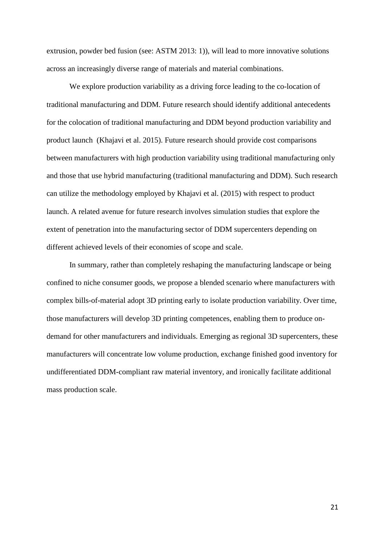extrusion, powder bed fusion (see: ASTM 2013: 1)), will lead to more innovative solutions across an increasingly diverse range of materials and material combinations.

We explore production variability as a driving force leading to the co-location of traditional manufacturing and DDM. Future research should identify additional antecedents for the colocation of traditional manufacturing and DDM beyond production variability and product launch (Khajavi et al. 2015). Future research should provide cost comparisons between manufacturers with high production variability using traditional manufacturing only and those that use hybrid manufacturing (traditional manufacturing and DDM). Such research can utilize the methodology employed by Khajavi et al. (2015) with respect to product launch. A related avenue for future research involves simulation studies that explore the extent of penetration into the manufacturing sector of DDM supercenters depending on different achieved levels of their economies of scope and scale.

In summary, rather than completely reshaping the manufacturing landscape or being confined to niche consumer goods, we propose a blended scenario where manufacturers with complex bills-of-material adopt 3D printing early to isolate production variability. Over time, those manufacturers will develop 3D printing competences, enabling them to produce ondemand for other manufacturers and individuals. Emerging as regional 3D supercenters, these manufacturers will concentrate low volume production, exchange finished good inventory for undifferentiated DDM-compliant raw material inventory, and ironically facilitate additional mass production scale.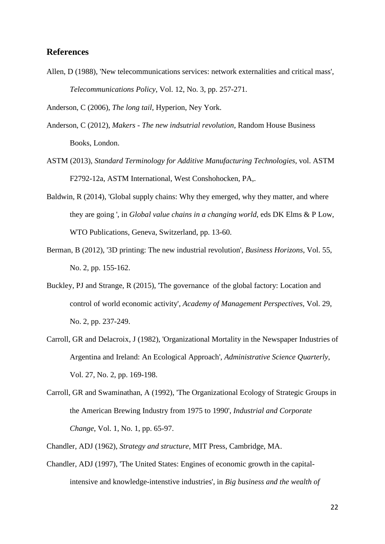## **References**

Allen, D (1988), 'New telecommunications services: network externalities and critical mass', *Telecommunications Policy*, Vol. 12, No. 3, pp. 257-271.

Anderson, C (2006), *The long tail*, Hyperion, Ney York.

- Anderson, C (2012), *Makers - The new indsutrial revolution*, Random House Business Books, London.
- ASTM (2013), *Standard Terminology for Additive Manufacturing Technologies*, vol. ASTM F2792-12a, ASTM International, West Conshohocken, PA,.
- Baldwin, R (2014), 'Global supply chains: Why they emerged, why they matter, and where they are going ', in *Global value chains in a changing world*, eds DK Elms & P Low, WTO Publications, Geneva, Switzerland, pp. 13-60.
- Berman, B (2012), '3D printing: The new industrial revolution', *Business Horizons*, Vol. 55, No. 2, pp. 155-162.
- Buckley, PJ and Strange, R (2015), 'The governance of the global factory: Location and control of world economic activity', *Academy of Management Perspectives*, Vol. 29, No. 2, pp. 237-249.
- Carroll, GR and Delacroix, J (1982), 'Organizational Mortality in the Newspaper Industries of Argentina and Ireland: An Ecological Approach', *Administrative Science Quarterly*, Vol. 27, No. 2, pp. 169-198.
- Carroll, GR and Swaminathan, A (1992), 'The Organizational Ecology of Strategic Groups in the American Brewing Industry from 1975 to 1990', *Industrial and Corporate Change*, Vol. 1, No. 1, pp. 65-97.

Chandler, ADJ (1962), *Strategy and structure*, MIT Press, Cambridge, MA.

Chandler, ADJ (1997), 'The United States: Engines of economic growth in the capitalintensive and knowledge-intenstive industries', in *Big business and the wealth of*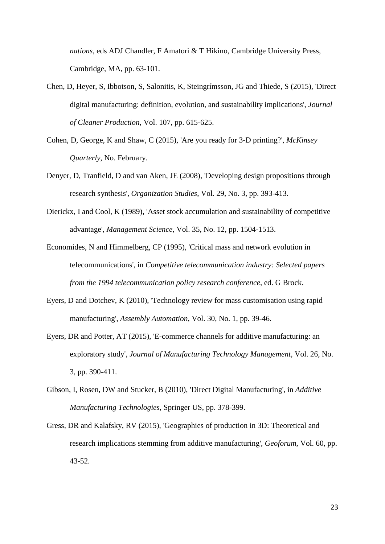*nations*, eds ADJ Chandler, F Amatori & T Hikino, Cambridge University Press, Cambridge, MA, pp. 63-101.

- Chen, D, Heyer, S, Ibbotson, S, Salonitis, K, Steingrímsson, JG and Thiede, S (2015), 'Direct digital manufacturing: definition, evolution, and sustainability implications', *Journal of Cleaner Production*, Vol. 107, pp. 615-625.
- Cohen, D, George, K and Shaw, C (2015), 'Are you ready for 3-D printing?', *McKinsey Quarterly*, No. February.
- Denyer, D, Tranfield, D and van Aken, JE (2008), 'Developing design propositions through research synthesis', *Organization Studies*, Vol. 29, No. 3, pp. 393-413.
- Dierickx, I and Cool, K (1989), 'Asset stock accumulation and sustainability of competitive advantage', *Management Science*, Vol. 35, No. 12, pp. 1504-1513.
- Economides, N and Himmelberg, CP (1995), 'Critical mass and network evolution in telecommunications', in *Competitive telecommunication industry: Selected papers from the 1994 telecommunication policy research conference*, ed. G Brock.
- Eyers, D and Dotchev, K (2010), 'Technology review for mass customisation using rapid manufacturing', *Assembly Automation*, Vol. 30, No. 1, pp. 39-46.
- Eyers, DR and Potter, AT (2015), 'E-commerce channels for additive manufacturing: an exploratory study', *Journal of Manufacturing Technology Management*, Vol. 26, No. 3, pp. 390-411.
- Gibson, I, Rosen, DW and Stucker, B (2010), 'Direct Digital Manufacturing', in *Additive Manufacturing Technologies*, Springer US, pp. 378-399.
- Gress, DR and Kalafsky, RV (2015), 'Geographies of production in 3D: Theoretical and research implications stemming from additive manufacturing', *Geoforum*, Vol. 60, pp. 43-52.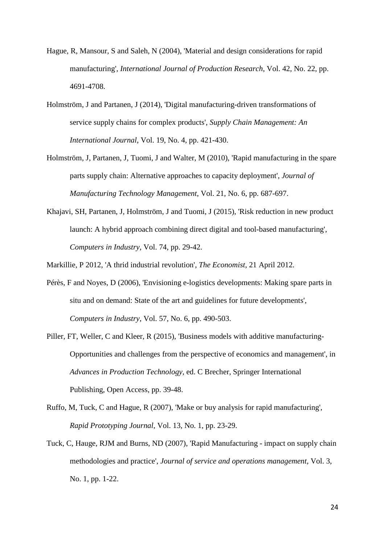- Hague, R, Mansour, S and Saleh, N (2004), 'Material and design considerations for rapid manufacturing', *International Journal of Production Research*, Vol. 42, No. 22, pp. 4691-4708.
- Holmström, J and Partanen, J (2014), 'Digital manufacturing-driven transformations of service supply chains for complex products', *Supply Chain Management: An International Journal*, Vol. 19, No. 4, pp. 421-430.
- Holmström, J, Partanen, J, Tuomi, J and Walter, M (2010), 'Rapid manufacturing in the spare parts supply chain: Alternative approaches to capacity deployment', *Journal of Manufacturing Technology Management*, Vol. 21, No. 6, pp. 687-697.
- Khajavi, SH, Partanen, J, Holmström, J and Tuomi, J (2015), 'Risk reduction in new product launch: A hybrid approach combining direct digital and tool-based manufacturing', *Computers in Industry*, Vol. 74, pp. 29-42.
- Markillie, P 2012, 'A thrid industrial revolution', *The Economist*, 21 April 2012.
- Pérès, F and Noyes, D (2006), 'Envisioning e-logistics developments: Making spare parts in situ and on demand: State of the art and guidelines for future developments', *Computers in Industry*, Vol. 57, No. 6, pp. 490-503.
- Piller, FT, Weller, C and Kleer, R (2015), 'Business models with additive manufacturing-Opportunities and challenges from the perspective of economics and management', in *Advances in Production Technology*, ed. C Brecher, Springer International Publishing, Open Access, pp. 39-48.
- Ruffo, M, Tuck, C and Hague, R (2007), 'Make or buy analysis for rapid manufacturing', *Rapid Prototyping Journal*, Vol. 13, No. 1, pp. 23-29.
- Tuck, C, Hauge, RJM and Burns, ND (2007), 'Rapid Manufacturing impact on supply chain methodologies and practice', *Journal of service and operations management*, Vol. 3, No. 1, pp. 1-22.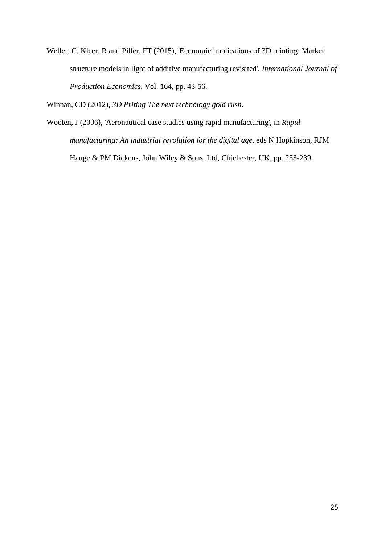Weller, C, Kleer, R and Piller, FT (2015), 'Economic implications of 3D printing: Market structure models in light of additive manufacturing revisited', *International Journal of Production Economics*, Vol. 164, pp. 43-56.

Winnan, CD (2012), *3D Priting The next technology gold rush*.

Wooten, J (2006), 'Aeronautical case studies using rapid manufacturing', in *Rapid manufacturing: An industrial revolution for the digital age*, eds N Hopkinson, RJM Hauge & PM Dickens, John Wiley & Sons, Ltd, Chichester, UK, pp. 233-239.